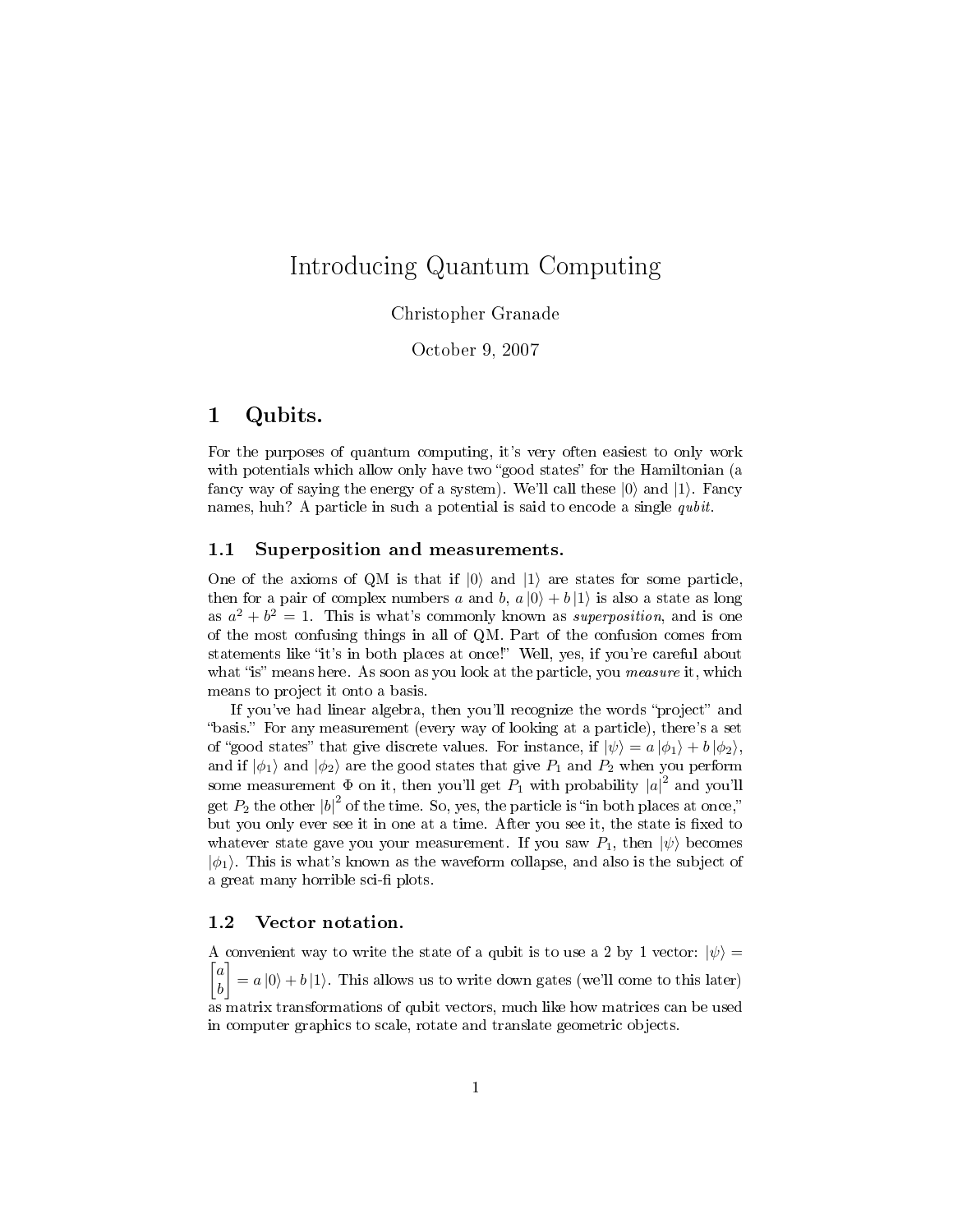# Introducing Quantum Computing

## Christopher Granade

## October 9, 2007

## 1 Qubits.

For the purposes of quantum computing, it's very often easiest to only work with potentials which allow only have two "good states" for the Hamiltonian (a fancy way of saying the energy of a system). We'll call these  $|0\rangle$  and  $|1\rangle$ . Fancy names, huh? A particle in such a potential is said to encode a single *qubit*.

#### 1.1 Superposition and measurements.

One of the axioms of QM is that if  $|0\rangle$  and  $|1\rangle$  are states for some particle, then for a pair of complex numbers a and b,  $a |0\rangle + b |1\rangle$  is also a state as long as  $a^2 + b^2 = 1$ . This is what's commonly known as *superposition*, and is one of the most confusing things in all of QM. Part of the confusion comes from statements like "it's in both places at once!" Well, yes, if you're careful about what "is" means here. As soon as you look at the particle, you *measure* it, which means to project it onto a basis.

If you've had linear algebra, then you'll recognize the words "project" and "basis." For any measurement (every way of looking at a particle), there's a set of "good states" that give discrete values. For instance, if  $|\psi\rangle = a |\phi_1\rangle + b |\phi_2\rangle$ , and if  $|\phi_1\rangle$  and  $|\phi_2\rangle$  are the good states that give  $P_1$  and  $P_2$  when you perform some measurement  $\Phi$  on it, then you'll get  $P_1$  with probability  $|a|^2$  and you'll get  $P_2$  the other  $|b|^2$  of the time. So, yes, the particle is "in both places at once," but you only ever see it in one at a time. After you see it, the state is fixed to whatever state gave you your measurement. If you saw  $P_1$ , then  $|\psi\rangle$  becomes  $|\phi_1\rangle$ . This is what's known as the waveform collapse, and also is the subject of a great many horrible sci-fi plots.

### 1.2 Vector notation.

A convenient way to write the state of a qubit is to use a 2 by 1 vector:  $|\psi\rangle =$  $\lceil$ a  $|b|$ 1  $= a |0\rangle + b |1\rangle$ . This allows us to write down gates (we'll come to this later) as matrix transformations of qubit vectors, much like how matrices can be used in computer graphics to scale, rotate and translate geometric objects.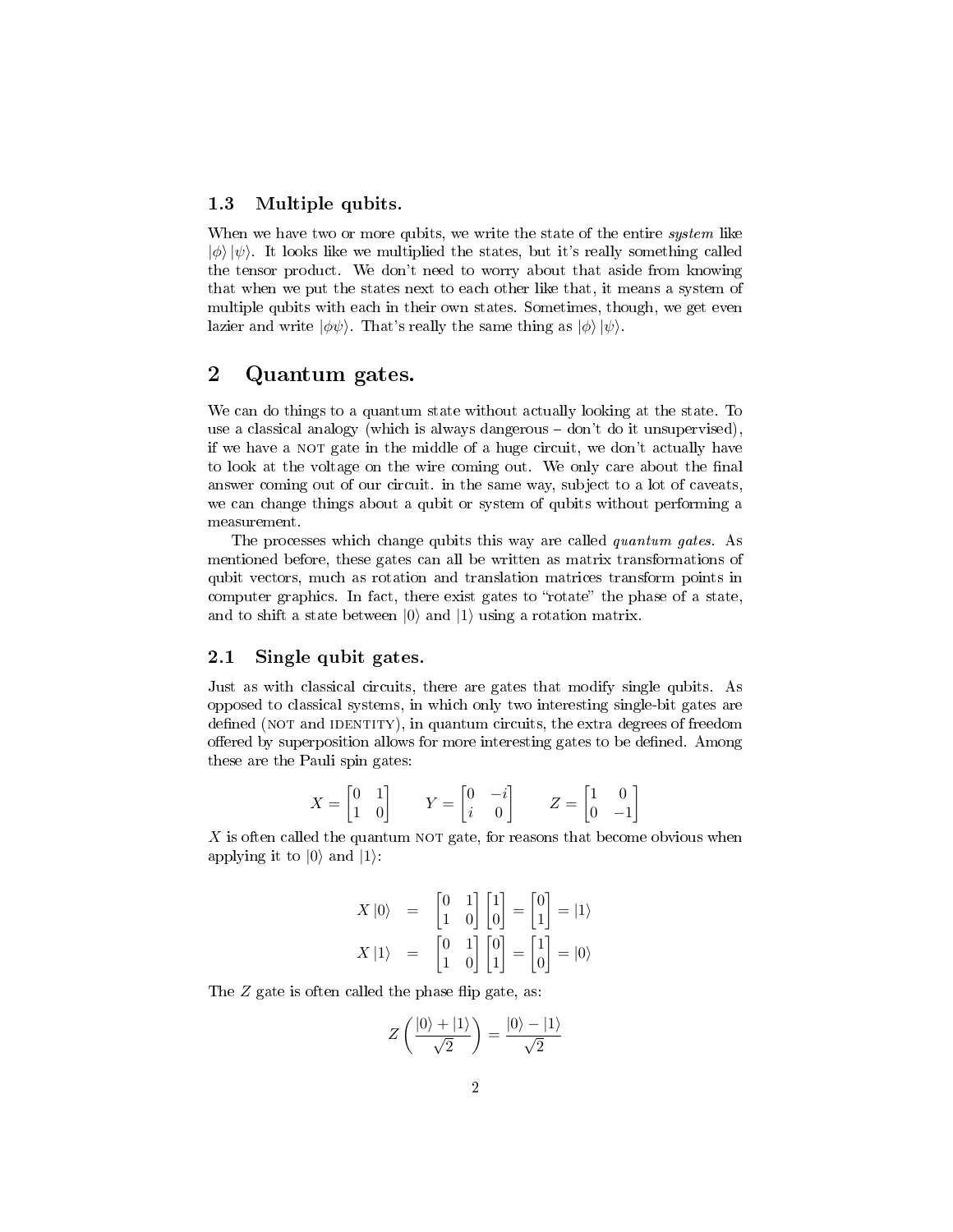## 1.3 Multiple qubits.

When we have two or more qubits, we write the state of the entire *system* like  $|\phi\rangle |\psi\rangle$ . It looks like we multiplied the states, but it's really something called the tensor product. We don't need to worry about that aside from knowing that when we put the states next to each other like that, it means a system of multiple qubits with each in their own states. Sometimes, though, we get even lazier and write  $|\phi\psi\rangle$ . That's really the same thing as  $|\phi\rangle |\psi\rangle$ .

## 2 Quantum gates.

We can do things to a quantum state without actually looking at the state. To use a classical analogy (which is always dangerous  $-$  don't do it unsupervised), if we have a NOT gate in the middle of a huge circuit, we don't actually have to look at the voltage on the wire coming out. We only care about the final answer coming out of our circuit. in the same way, subject to a lot of caveats, we can change things about a qubit or system of qubits without performing a measurement.

The processes which change qubits this way are called *quantum gates*. As mentioned before, these gates can all be written as matrix transformations of qubit vectors, much as rotation and translation matrices transform points in computer graphics. In fact, there exist gates to "rotate" the phase of a state, and to shift a state between  $|0\rangle$  and  $|1\rangle$  using a rotation matrix.

### 2.1 Single qubit gates.

Just as with classical circuits, there are gates that modify single qubits. As opposed to classical systems, in which only two interesting single-bit gates are defined (NOT and IDENTITY), in quantum circuits, the extra degrees of freedom offered by superposition allows for more interesting gates to be defined. Among these are the Pauli spin gates:

$$
X = \begin{bmatrix} 0 & 1 \\ 1 & 0 \end{bmatrix} \qquad Y = \begin{bmatrix} 0 & -i \\ i & 0 \end{bmatrix} \qquad Z = \begin{bmatrix} 1 & 0 \\ 0 & -1 \end{bmatrix}
$$

 $X$  is often called the quantum NOT gate, for reasons that become obvious when applying it to  $|0\rangle$  and  $|1\rangle$ :

$$
X |0\rangle = \begin{bmatrix} 0 & 1 \\ 1 & 0 \end{bmatrix} \begin{bmatrix} 1 \\ 0 \end{bmatrix} = \begin{bmatrix} 0 \\ 1 \end{bmatrix} = |1\rangle
$$

$$
X |1\rangle = \begin{bmatrix} 0 & 1 \\ 1 & 0 \end{bmatrix} \begin{bmatrix} 0 \\ 1 \end{bmatrix} = \begin{bmatrix} 1 \\ 0 \end{bmatrix} = |0\rangle
$$

The  $Z$  gate is often called the phase flip gate, as:

$$
Z\left(\frac{|0\rangle+|1\rangle}{\sqrt{2}}\right)=\frac{|0\rangle-|1\rangle}{\sqrt{2}}
$$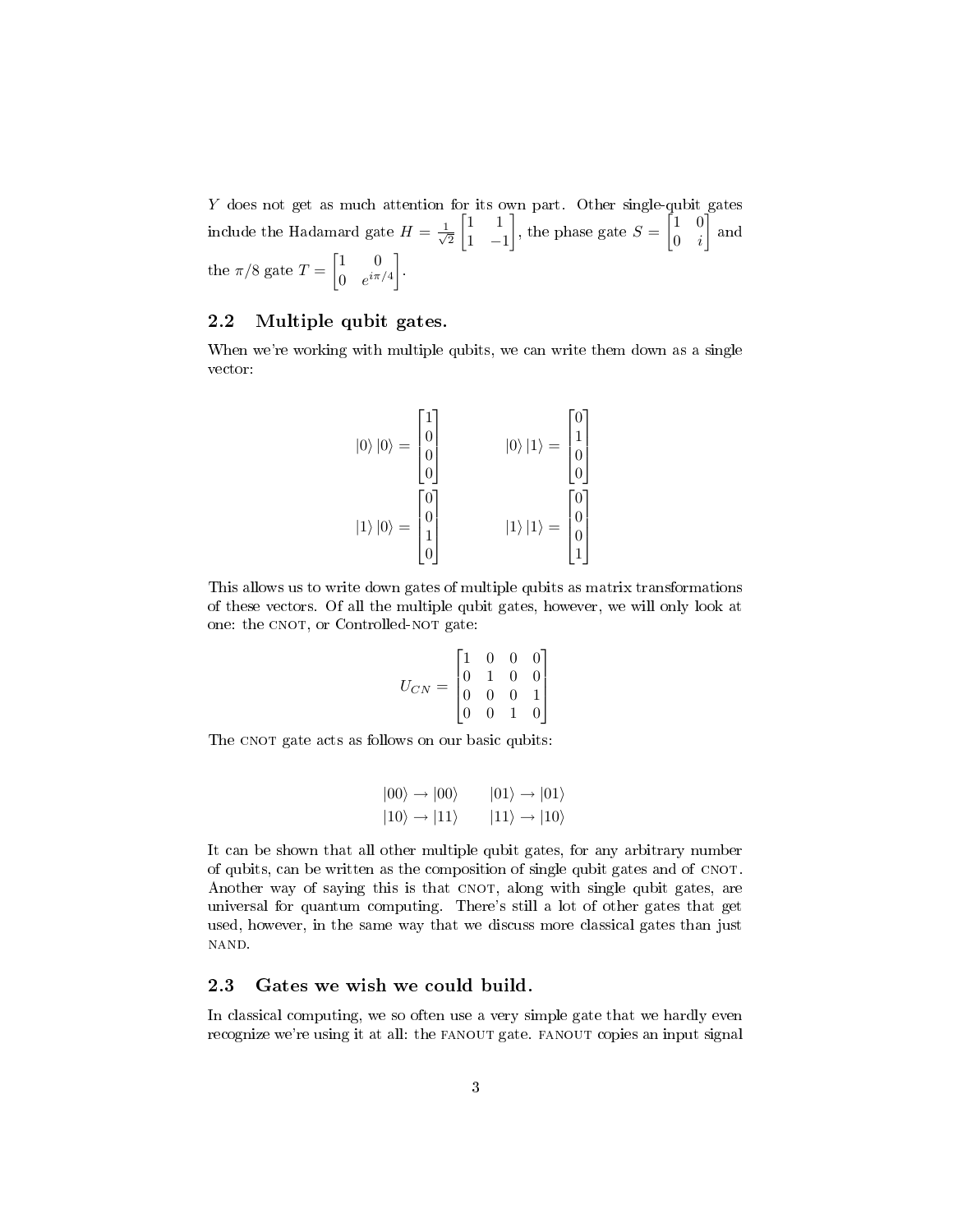Y does not get as much attention for its own part. Other single-qubit gates include the Hadamard gate  $H = \frac{1}{\sqrt{2}}$ 2  $\begin{bmatrix} 1 & 1 \end{bmatrix}$ 1 −1 , the phase gate  $S = \begin{bmatrix} 1 & 0 \\ 0 & i \end{bmatrix}$  $0 \quad i$  $\vert$  and the  $\pi/8$  gate  $T = \begin{bmatrix} 1 & 0 \\ 0 & i\pi \end{bmatrix}$ 0  $e^{i\pi/4}$ .

## 2.2 Multiple qubit gates.

When we're working with multiple qubits, we can write them down as a single vector:

$$
|0\rangle |0\rangle = \begin{bmatrix} 1 \\ 0 \\ 0 \\ 0 \end{bmatrix} \qquad |0\rangle |1\rangle = \begin{bmatrix} 0 \\ 1 \\ 0 \\ 0 \end{bmatrix}
$$

$$
|1\rangle |0\rangle = \begin{bmatrix} 0 \\ 0 \\ 1 \\ 0 \end{bmatrix} \qquad |1\rangle |1\rangle = \begin{bmatrix} 0 \\ 0 \\ 0 \\ 1 \end{bmatrix}
$$

This allows us to write down gates of multiple qubits as matrix transformations of these vectors. Of all the multiple qubit gates, however, we will only look at one: the CNOT, or Controlled-NOT gate:

$$
U_{CN} = \begin{bmatrix} 1 & 0 & 0 & 0 \\ 0 & 1 & 0 & 0 \\ 0 & 0 & 0 & 1 \\ 0 & 0 & 1 & 0 \end{bmatrix}
$$

The CNOT gate acts as follows on our basic qubits:

$$
|00\rangle \rightarrow |00\rangle \qquad |01\rangle \rightarrow |01\rangle
$$
  

$$
|10\rangle \rightarrow |11\rangle \qquad |11\rangle \rightarrow |10\rangle
$$

It can be shown that all other multiple qubit gates, for any arbitrary number of qubits, can be written as the composition of single qubit gates and of cnot. Another way of saying this is that CNOT, along with single qubit gates, are universal for quantum computing. There's still a lot of other gates that get used, however, in the same way that we discuss more classical gates than just NAND.

## 2.3 Gates we wish we could build.

In classical computing, we so often use a very simple gate that we hardly even recognize we're using it at all: the FANOUT gate. FANOUT copies an input signal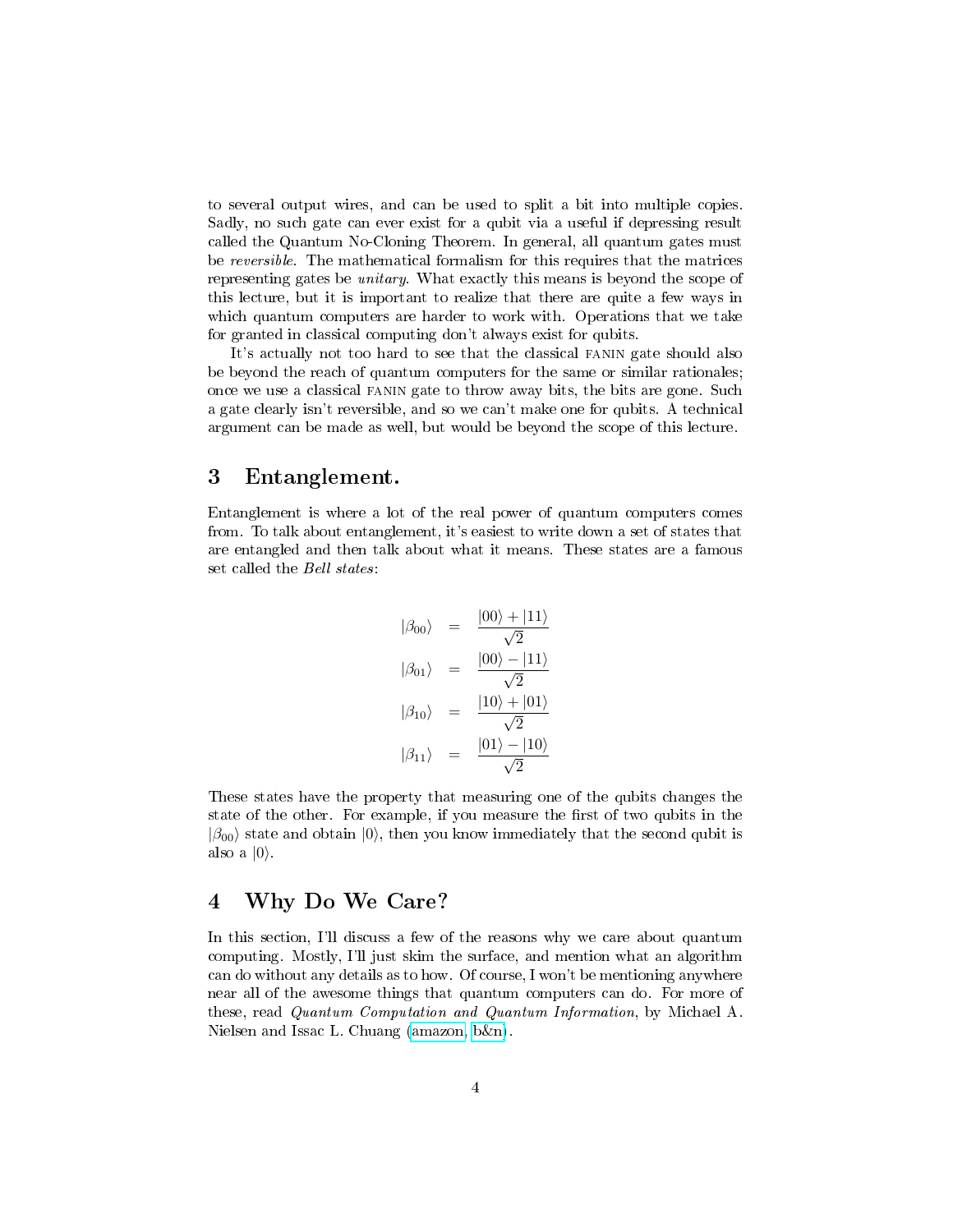to several output wires, and can be used to split a bit into multiple copies. Sadly, no such gate can ever exist for a qubit via a useful if depressing result called the Quantum No-Cloning Theorem. In general, all quantum gates must be reversible. The mathematical formalism for this requires that the matrices representing gates be unitary. What exactly this means is beyond the scope of this lecture, but it is important to realize that there are quite a few ways in which quantum computers are harder to work with. Operations that we take for granted in classical computing don't always exist for qubits.

It's actually not too hard to see that the classical fanin gate should also be beyond the reach of quantum computers for the same or similar rationales; once we use a classical fanin gate to throw away bits, the bits are gone. Such a gate clearly isn't reversible, and so we can't make one for qubits. A technical argument can be made as well, but would be beyond the scope of this lecture.

## 3 Entanglement.

Entanglement is where a lot of the real power of quantum computers comes from. To talk about entanglement, it's easiest to write down a set of states that are entangled and then talk about what it means. These states are a famous set called the Bell states:

$$
|\beta_{00}\rangle = \frac{|00\rangle + |11\rangle}{\sqrt{2}}
$$

$$
|\beta_{01}\rangle = \frac{|00\rangle - |11\rangle}{\sqrt{2}}
$$

$$
|\beta_{10}\rangle = \frac{|10\rangle + |01\rangle}{\sqrt{2}}
$$

$$
|\beta_{11}\rangle = \frac{|01\rangle - |10\rangle}{\sqrt{2}}
$$

These states have the property that measuring one of the qubits changes the state of the other. For example, if you measure the first of two qubits in the  $|\beta_{00}\rangle$  state and obtain  $|0\rangle$ , then you know immediately that the second qubit is also a  $|0\rangle$ .

## 4 Why Do We Care?

In this section, I'll discuss a few of the reasons why we care about quantum computing. Mostly, I'll just skim the surface, and mention what an algorithm can do without any details as to how. Of course, I won't be mentioning anywhere near all of the awesome things that quantum computers can do. For more of these, read Quantum Computation and Quantum Information, by Michael A. Nielsen and Issac L. Chuang [\(amazon,](http://www.amazon.com/Quantum-Computation-Information-Michael-Nielsen/dp/0521635039/ref=sr_11_1/102-8299850-6905765?ie=UTF8&qid=1191709621&sr=11-1) [b&n\)](http://search.barnesandnoble.com/booksearch/isbninquiry.asp?ISBN=0521635039).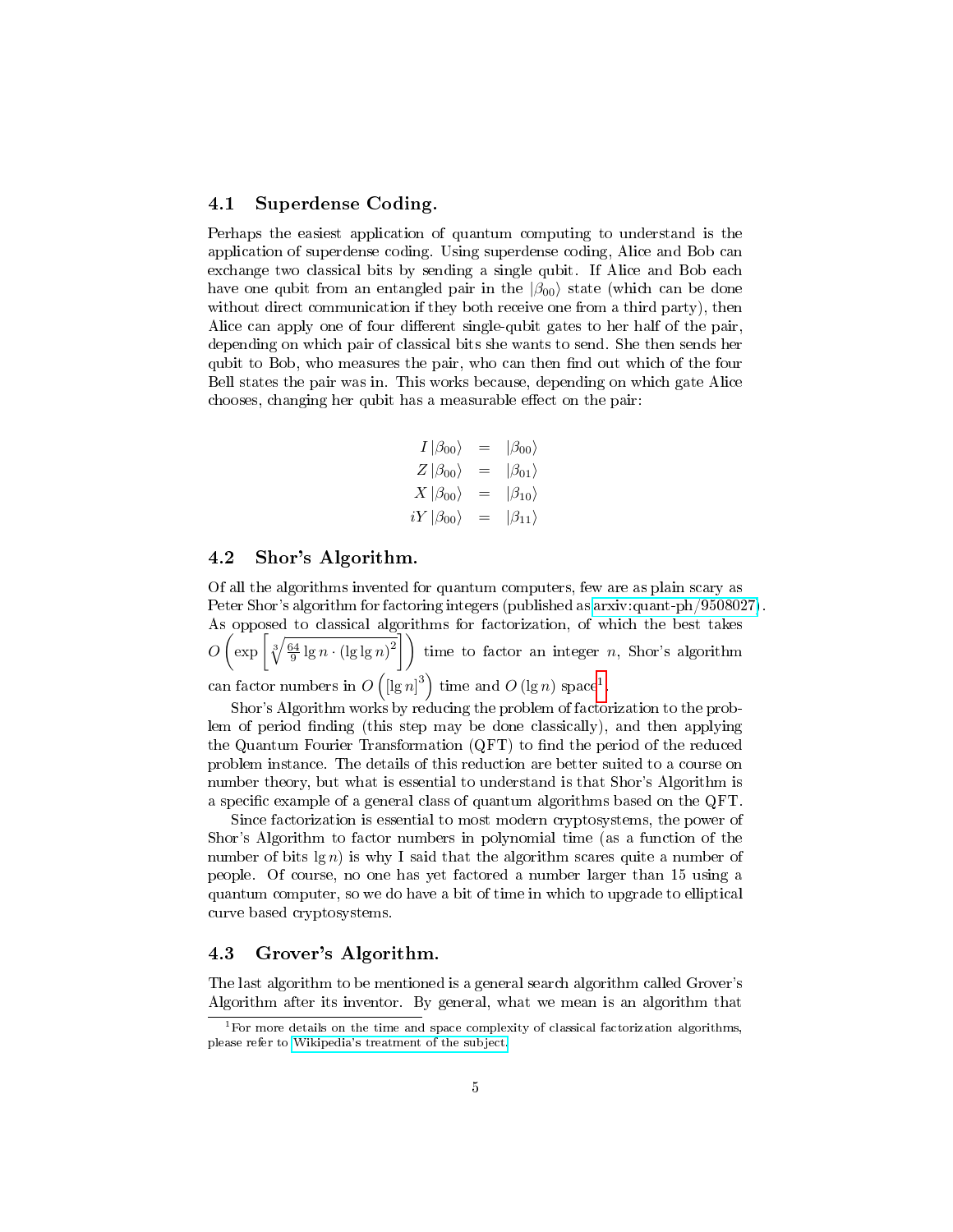## 4.1 Superdense Coding.

Perhaps the easiest application of quantum computing to understand is the application of superdense coding. Using superdense coding, Alice and Bob can exchange two classical bits by sending a single qubit. If Alice and Bob each have one qubit from an entangled pair in the  $|\beta_{00}\rangle$  state (which can be done without direct communication if they both receive one from a third party), then Alice can apply one of four different single-qubit gates to her half of the pair, depending on which pair of classical bits she wants to send. She then sends her qubit to Bob, who measures the pair, who can then find out which of the four Bell states the pair was in. This works because, depending on which gate Alice chooses, changing her qubit has a measurable effect on the pair:

$$
I | \beta_{00} \rangle = | \beta_{00} \rangle
$$
  
\n
$$
Z | \beta_{00} \rangle = | \beta_{01} \rangle
$$
  
\n
$$
X | \beta_{00} \rangle = | \beta_{10} \rangle
$$
  
\n
$$
iY | \beta_{00} \rangle = | \beta_{11} \rangle
$$

### 4.2 Shor's Algorithm.

Of all the algorithms invented for quantum computers, few are as plain scary as Peter Shor's algorithm for factoring integers (published as [arxiv:quant-ph/9508027\)](http://www.arxiv.org/abs/quant-ph/9508027). As opposed to classical algorithms for factorization, of which the best takes  $O\left(\exp\left[\sqrt[3]{\frac{64}{9}\lg n \cdot (\lg \lg n)^2}\right]\right)$  time to factor an integer n, Shor's algorithm can factor numbers in  $O\left(\left[\lg n\right]^3\right)$  time and  $O\left(\lg n\right)$  space<sup>[1](#page-4-0)</sup>.

Shor's Algorithm works by reducing the problem of factorization to the problem of period finding (this step may be done classically), and then applying the Quantum Fourier Transformation  $(QFT)$  to find the period of the reduced problem instance. The details of this reduction are better suited to a course on number theory, but what is essential to understand is that Shor's Algorithm is a specific example of a general class of quantum algorithms based on the QFT.

Since factorization is essential to most modern cryptosystems, the power of Shor's Algorithm to factor numbers in polynomial time (as a function of the number of bits  $\lg n$  is why I said that the algorithm scares quite a number of people. Of course, no one has yet factored a number larger than 15 using a quantum computer, so we do have a bit of time in which to upgrade to elliptical curve based cryptosystems.

## 4.3 Grover's Algorithm.

The last algorithm to be mentioned is a general search algorithm called Grover's Algorithm after its inventor. By general, what we mean is an algorithm that

<span id="page-4-0"></span> $1$ For more details on the time and space complexity of classical factorization algorithms, please refer to [Wikipedia's treatment of the subject.](http://en.wikipedia.org/wiki/Integer_factorization#Current_state_of_the_art)